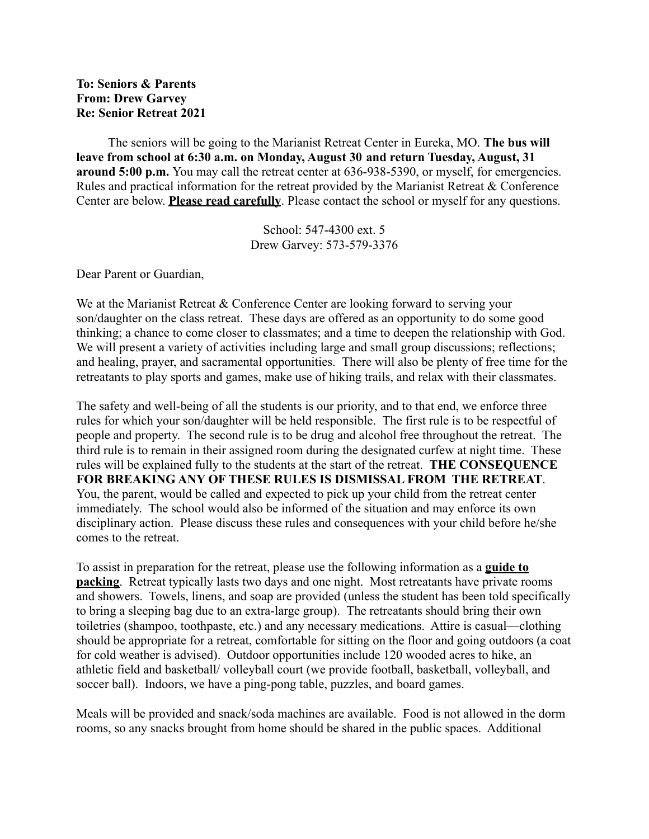## **To: Seniors & Parents From: Drew Garvey Re: Senior Retreat 2021**

The seniors will be going to the Marianist Retreat Center in Eureka, MO. **The bus will leave from school at 6:30 a.m. on Monday, August 30 and return Tuesday, August, 31 around 5:00 p.m.** You may call the retreat center at 636-938-5390, or myself, for emergencies. Rules and practical information for the retreat provided by the Marianist Retreat & Conference Center are below. **Please read carefully**. Please contact the school or myself for any questions.

> School: 547-4300 ext. 5 Drew Garvey: 573-579-3376

Dear Parent or Guardian,

We at the Marianist Retreat & Conference Center are looking forward to serving your son/daughter on the class retreat. These days are offered as an opportunity to do some good thinking; a chance to come closer to classmates; and a time to deepen the relationship with God. We will present a variety of activities including large and small group discussions; reflections; and healing, prayer, and sacramental opportunities. There will also be plenty of free time for the retreatants to play sports and games, make use of hiking trails, and relax with their classmates.

The safety and well-being of all the students is our priority, and to that end, we enforce three rules for which your son/daughter will be held responsible. The first rule is to be respectful of people and property. The second rule is to be drug and alcohol free throughout the retreat. The third rule is to remain in their assigned room during the designated curfew at night time. These rules will be explained fully to the students at the start of the retreat. **THE CONSEQUENCE FOR BREAKING ANY OF THESE RULES IS DISMISSAL FROM THE RETREAT**. You, the parent, would be called and expected to pick up your child from the retreat center immediately. The school would also be informed of the situation and may enforce its own disciplinary action. Please discuss these rules and consequences with your child before he/she comes to the retreat.

To assist in preparation for the retreat, please use the following information as a **guide to packing**. Retreat typically lasts two days and one night. Most retreatants have private rooms and showers. Towels, linens, and soap are provided (unless the student has been told specifically to bring a sleeping bag due to an extra-large group). The retreatants should bring their own toiletries (shampoo, toothpaste, etc.) and any necessary medications. Attire is casual—clothing should be appropriate for a retreat, comfortable for sitting on the floor and going outdoors (a coat for cold weather is advised). Outdoor opportunities include 120 wooded acres to hike, an athletic field and basketball/ volleyball court (we provide football, basketball, volleyball, and soccer ball). Indoors, we have a ping-pong table, puzzles, and board games.

Meals will be provided and snack/soda machines are available. Food is not allowed in the dorm rooms, so any snacks brought from home should be shared in the public spaces. Additional